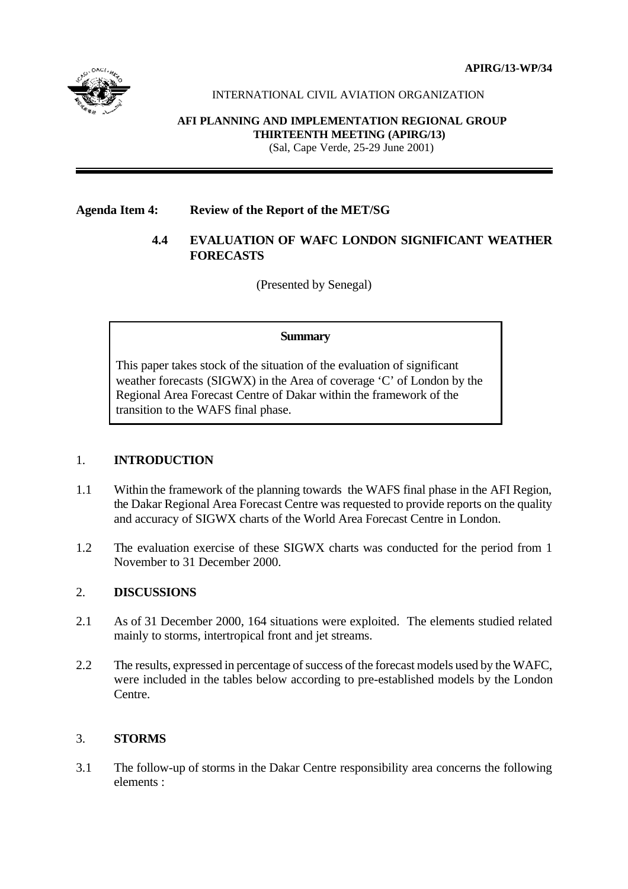**APIRG/13-WP/34**



## INTERNATIONAL CIVIL AVIATION ORGANIZATION

#### **AFI PLANNING AND IMPLEMENTATION REGIONAL GROUP THIRTEENTH MEETING (APIRG/13)** (Sal, Cape Verde, 25-29 June 2001)

## **Agenda Item 4: Review of the Report of the MET/SG**

## **4.4 EVALUATION OF WAFC LONDON SIGNIFICANT WEATHER FORECASTS**

(Presented by Senegal)

#### **Summary**

This paper takes stock of the situation of the evaluation of significant weather forecasts (SIGWX) in the Area of coverage 'C' of London by the Regional Area Forecast Centre of Dakar within the framework of the transition to the WAFS final phase.

## 1. **INTRODUCTION**

- 1.1 Within the framework of the planning towards the WAFS final phase in the AFI Region, the Dakar Regional Area Forecast Centre was requested to provide reports on the quality and accuracy of SIGWX charts of the World Area Forecast Centre in London.
- 1.2 The evaluation exercise of these SIGWX charts was conducted for the period from 1 November to 31 December 2000.

## 2. **DISCUSSIONS**

- 2.1 As of 31 December 2000, 164 situations were exploited. The elements studied related mainly to storms, intertropical front and jet streams.
- 2.2 The results, expressed in percentage of success of the forecast models used by the WAFC. were included in the tables below according to pre-established models by the London Centre.

## 3. **STORMS**

3.1 The follow-up of storms in the Dakar Centre responsibility area concerns the following elements :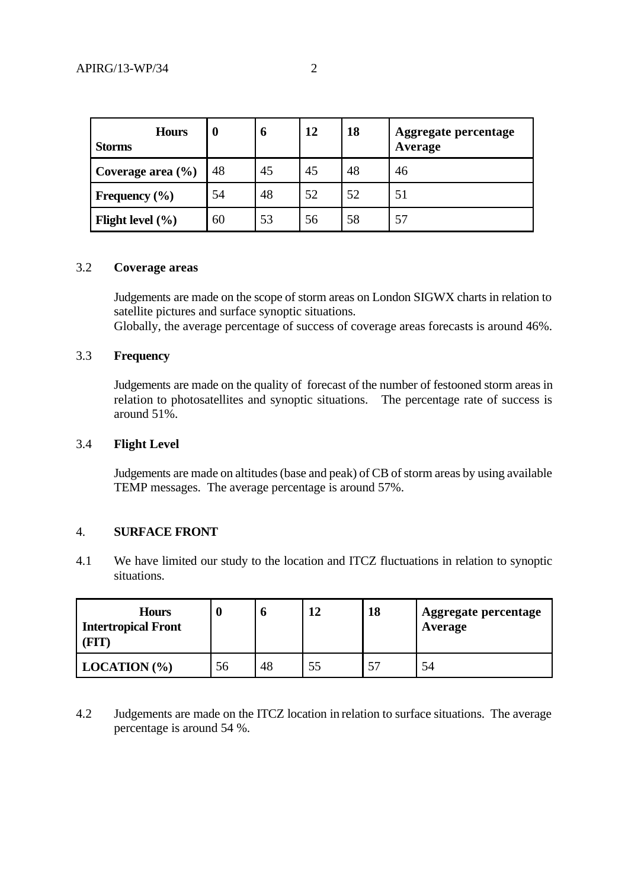| <b>Hours</b><br><b>Storms</b> | $\bf{0}$ | O  | 12 | 18 | Aggregate percentage<br>Average |
|-------------------------------|----------|----|----|----|---------------------------------|
| Coverage area $(\% )$         | 48       | 45 | 45 | 48 | 46                              |
| Frequency $(\% )$             | 54       | 48 | 52 | 52 | 51                              |
| Flight level $(\% )$          | 60       | 53 | 56 | 58 | 57                              |

#### 3.2 **Coverage areas**

Judgements are made on the scope of storm areas on London SIGWX charts in relation to satellite pictures and surface synoptic situations.

Globally, the average percentage of success of coverage areas forecasts is around 46%.

### 3.3 **Frequency**

Judgements are made on the quality of forecast of the number of festooned storm areas in relation to photosatellites and synoptic situations. The percentage rate of success is around 51%.

### 3.4 **Flight Level**

Judgements are made on altitudes (base and peak) of CB of storm areas by using available TEMP messages. The average percentage is around 57%.

### 4. **SURFACE FRONT**

4.1 We have limited our study to the location and ITCZ fluctuations in relation to synoptic situations.

| <b>Hours</b><br><b>Intertropical Front</b><br>FIT) |    |    | 18 | Aggregate percentage<br>Average |
|----------------------------------------------------|----|----|----|---------------------------------|
| LOGITION (% )                                      | 56 | 48 | 57 | 54                              |

4.2 Judgements are made on the ITCZ location in relation to surface situations. The average percentage is around 54 %.